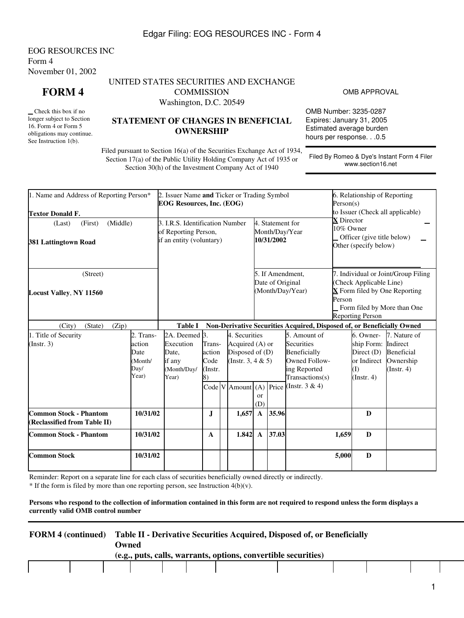## Edgar Filing: EOG RESOURCES INC - Form 4

EOG RESOURCES INC Form 4 November 01, 2002

**FORM 4**

 Check this box if no longer subject to Section 16. Form 4 or Form 5 obligations may continue. See Instruction 1(b).

# UNITED STATES SECURITIES AND EXCHANGE **COMMISSION**

Washington, D.C. 20549

# **STATEMENT OF CHANGES IN BENEFICIAL OWNERSHIP**

OMB APPROVAL

OMB Number: 3235-0287 Expires: January 31, 2005 Estimated average burden hours per response. . .0.5

Filed pursuant to Section 16(a) of the Securities Exchange Act of 1934, Section 17(a) of the Public Utility Holding Company Act of 1935 or Section 30(h) of the Investment Company Act of 1940

Filed By Romeo & Dye's Instant Form 4 Filer www.section16.net

| 1. Name and Address of Reporting Person*<br><b>Textor Donald F.</b>                            |          | 2. Issuer Name and Ticker or Trading Symbol<br><b>EOG Resources, Inc. (EOG)</b>     |                                                                                                                   |  |                                                          | 6. Relationship of Reporting<br>Person(s)<br>to Issuer (Check all applicable)                                                                         |                                                                        |                                                                                                                                                                                           |                                                                                       |                                                                                   |                                                                         |  |
|------------------------------------------------------------------------------------------------|----------|-------------------------------------------------------------------------------------|-------------------------------------------------------------------------------------------------------------------|--|----------------------------------------------------------|-------------------------------------------------------------------------------------------------------------------------------------------------------|------------------------------------------------------------------------|-------------------------------------------------------------------------------------------------------------------------------------------------------------------------------------------|---------------------------------------------------------------------------------------|-----------------------------------------------------------------------------------|-------------------------------------------------------------------------|--|
| (Middle)<br>(First)<br>(Last)<br>381 Lattingtown Road                                          |          | 3. I.R.S. Identification Number<br>of Reporting Person,<br>if an entity (voluntary) |                                                                                                                   |  |                                                          |                                                                                                                                                       | 4. Statement for<br>10/31/2002                                         | Month/Day/Year                                                                                                                                                                            | <b>X</b> Director<br>10% Owner<br>Officer (give title below)<br>Other (specify below) |                                                                                   |                                                                         |  |
| (Street)<br><b>Locust Valley, NY 11560</b>                                                     |          |                                                                                     |                                                                                                                   |  | 5. If Amendment.<br>Date of Original<br>(Month/Day/Year) |                                                                                                                                                       |                                                                        | 7. Individual or Joint/Group Filing<br>(Check Applicable Line)<br>$\overline{\mathbf{X}}$ Form filed by One Reporting<br>Person<br>Form filed by More than One<br><b>Reporting Person</b> |                                                                                       |                                                                                   |                                                                         |  |
| (City)<br>(Zip)<br>(State)                                                                     |          | <b>Table I</b>                                                                      |                                                                                                                   |  |                                                          |                                                                                                                                                       | Non-Derivative Securities Acquired, Disposed of, or Beneficially Owned |                                                                                                                                                                                           |                                                                                       |                                                                                   |                                                                         |  |
| 1. Title of Security<br>2. Trans-<br>(Insert. 3)<br>action<br>Date<br>(Month/<br>Day/<br>Year) |          | 2A. Deemed 3.<br>Execution<br>Date,<br>if any<br>(Month/Day/<br>Year)               | 4. Securities<br>Trans-<br>Acquired (A) or<br>Disposed of (D)<br>action<br>Code<br>(Instr. 3, 4 $& 5$ )<br>Instr. |  |                                                          | 5. Amount of<br>Securities<br>Beneficially<br>Owned Follow-<br>ing Reported<br>Transactions(s)<br>Code V Amount (A) Price (Instr. 3 & 4)<br><b>or</b> |                                                                        |                                                                                                                                                                                           |                                                                                       | 6. Owner-<br>ship Form:<br>Direct $(D)$<br>or Indirect<br>(I)<br>$($ Instr. 4 $)$ | 7. Nature of<br>Indirect<br>Beneficial<br>Ownership<br>$($ Instr. 4 $)$ |  |
| <b>Common Stock - Phantom</b><br>(Reclassified from Table II)                                  | 10/31/02 |                                                                                     | J.                                                                                                                |  | 1,657                                                    | (D)<br>$\mathbf{A}$                                                                                                                                   | 35.96                                                                  |                                                                                                                                                                                           |                                                                                       | D                                                                                 |                                                                         |  |
| <b>Common Stock - Phantom</b><br>10/31/02                                                      |          |                                                                                     | $\mathbf{A}$                                                                                                      |  | 1.842                                                    | $\mathbf{A}$                                                                                                                                          | 37.03                                                                  |                                                                                                                                                                                           | 1,659                                                                                 | D                                                                                 |                                                                         |  |
| <b>Common Stock</b>                                                                            | 10/31/02 |                                                                                     |                                                                                                                   |  |                                                          |                                                                                                                                                       |                                                                        | 5,000                                                                                                                                                                                     | $\bf{D}$                                                                              |                                                                                   |                                                                         |  |

Reminder: Report on a separate line for each class of securities beneficially owned directly or indirectly.

 $*$  If the form is filed by more than one reporting person, see Instruction  $4(b)(v)$ .

#### **Persons who respond to the collection of information contained in this form are not required to respond unless the form displays a currently valid OMB control number**

|                                                                |  | <b>FORM 4 (continued)</b> Table II - Derivative Securities Acquired, Disposed of, or Beneficially<br>Owned) |  |  |  |  |  |  |  |  |  |  |
|----------------------------------------------------------------|--|-------------------------------------------------------------------------------------------------------------|--|--|--|--|--|--|--|--|--|--|
| (e.g., puts, calls, warrants, options, convertible securities) |  |                                                                                                             |  |  |  |  |  |  |  |  |  |  |
|                                                                |  |                                                                                                             |  |  |  |  |  |  |  |  |  |  |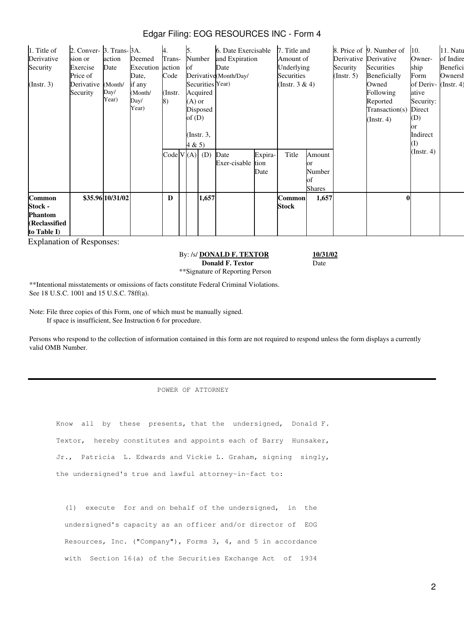| Edgar Filing: EOG RESOURCES INC - Form 4 |  |  |
|------------------------------------------|--|--|
|                                          |  |  |

| 1. Title of<br>Derivative<br>Security<br>$($ Instr. 3 $)$           | 2. Conver- 3. Trans-3A.<br>sion or<br>Exercise<br>Price of<br>Derivative<br>Security | action<br>Date<br>(Month/<br>Day/<br>Year) | Deemed<br>Execution<br>Date,<br>if any<br>(Month/<br>Day/<br>Year) | 4.<br>Trans-<br>action<br>Code<br>(Instr.<br>8) | Б.<br><b>of</b><br>$(A)$ or<br>of $(D)$ | Number<br>Acquired<br>Disposed<br>(Instr. $3$ , | 6. Date Exercisable<br>and Expiration<br>Date<br>Derivative (Month/Day/<br>Securities Year) |                         | 7. Title and<br>Amount of<br>Underlying<br>Securities<br>(Instr. $3 & 4$ ) |                                                 | Derivative Derivative<br>Security<br>$($ Instr. 5 $)$ | 8. Price of 9. Number of<br>Securities<br><b>Beneficially</b><br>Owned<br>Following<br>Reported<br>Transaction(s)<br>(Insert. 4) | 10.<br>Owner-<br>ship<br>Form<br>of Deriv- (Instr. 4)<br>ative<br>Security:<br>Direct<br>(D)<br>эr<br>Indirect | 11. Natu<br>of Indire<br>Benefici<br>Ownersł |
|---------------------------------------------------------------------|--------------------------------------------------------------------------------------|--------------------------------------------|--------------------------------------------------------------------|-------------------------------------------------|-----------------------------------------|-------------------------------------------------|---------------------------------------------------------------------------------------------|-------------------------|----------------------------------------------------------------------------|-------------------------------------------------|-------------------------------------------------------|----------------------------------------------------------------------------------------------------------------------------------|----------------------------------------------------------------------------------------------------------------|----------------------------------------------|
| Common<br>Stock -<br><b>Phantom</b><br>(Reclassified<br>to Table I) |                                                                                      | \$35.96 10/31/02                           |                                                                    | Code V(A)<br>D                                  | 4 & 5)                                  | (D)<br>1,657                                    | Date<br>Exer-cisable                                                                        | Expira-<br>tion<br>Date | Title<br><b>Common</b><br>Stock                                            | Amount<br>or<br>Number<br>of<br>Shares<br>1,657 |                                                       | $\mathbf{0}$                                                                                                                     | $($ Instr. 4 $)$                                                                                               |                                              |

Explanation of Responses:

By: /s/ **DONALD F. TEXTOR Donald F. Textor** \*\*Signature of Reporting Person **10/31/02** Date

\*\*Intentional misstatements or omissions of facts constitute Federal Criminal Violations. See 18 U.S.C. 1001 and 15 U.S.C. 78ff(a).

Note: File three copies of this Form, one of which must be manually signed. If space is insufficient, See Instruction 6 for procedure.

Persons who respond to the collection of information contained in this form are not required to respond unless the form displays a currently valid OMB Number.

#### POWER OF ATTORNEY

Know all by these presents, that the undersigned, Donald F. Textor, hereby constitutes and appoints each of Barry Hunsaker, Jr., Patricia L. Edwards and Vickie L. Graham, signing singly, the undersigned's true and lawful attorney-in-fact to:

 (1) execute for and on behalf of the undersigned, in the undersigned's capacity as an officer and/or director of EOG Resources, Inc. ("Company"), Forms 3, 4, and 5 in accordance with Section 16(a) of the Securities Exchange Act of 1934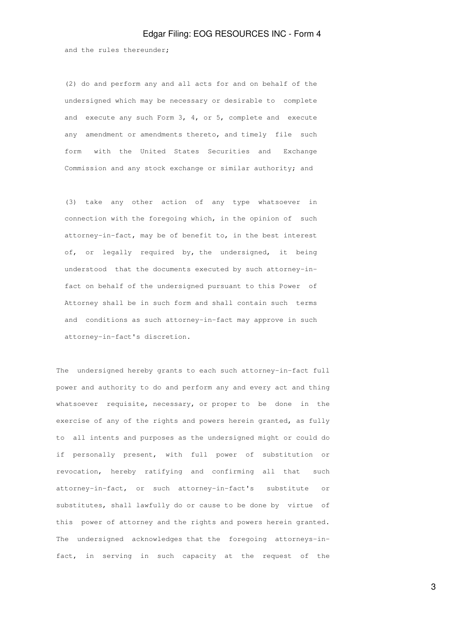#### Edgar Filing: EOG RESOURCES INC - Form 4

and the rules thereunder;

 (2) do and perform any and all acts for and on behalf of the undersigned which may be necessary or desirable to complete and execute any such Form 3, 4, or 5, complete and execute any amendment or amendments thereto, and timely file such form with the United States Securities and Exchange Commission and any stock exchange or similar authority; and

 (3) take any other action of any type whatsoever in connection with the foregoing which, in the opinion of such attorney-in-fact, may be of benefit to, in the best interest of, or legally required by, the undersigned, it being understood that the documents executed by such attorney-in fact on behalf of the undersigned pursuant to this Power of Attorney shall be in such form and shall contain such terms and conditions as such attorney-in-fact may approve in such attorney-in-fact's discretion.

The undersigned hereby grants to each such attorney-in-fact full power and authority to do and perform any and every act and thing whatsoever requisite, necessary, or proper to be done in the exercise of any of the rights and powers herein granted, as fully to all intents and purposes as the undersigned might or could do if personally present, with full power of substitution or revocation, hereby ratifying and confirming all that such attorney-in-fact, or such attorney-in-fact's substitute or substitutes, shall lawfully do or cause to be done by virtue of this power of attorney and the rights and powers herein granted. The undersigned acknowledges that the foregoing attorneys-infact, in serving in such capacity at the request of the